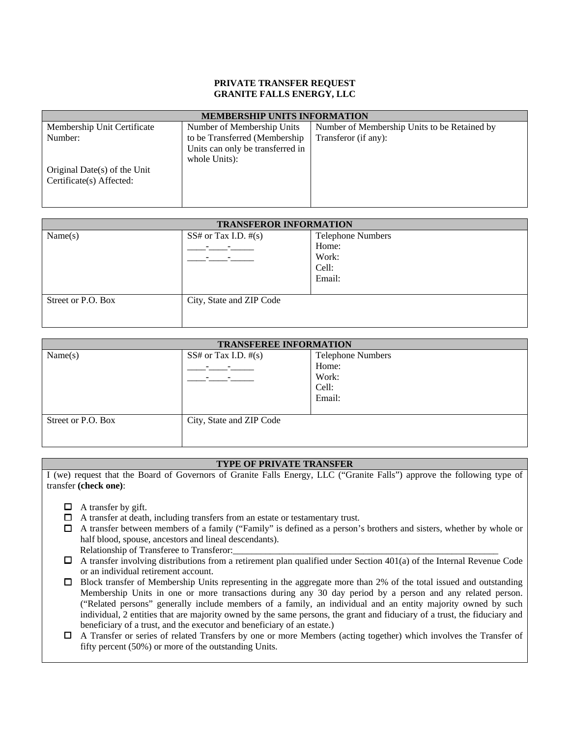#### **PRIVATE TRANSFER REQUEST GRANITE FALLS ENERGY, LLC**

| <b>MEMBERSHIP UNITS INFORMATION</b> |                                  |                                              |  |  |
|-------------------------------------|----------------------------------|----------------------------------------------|--|--|
| Membership Unit Certificate         | Number of Membership Units       | Number of Membership Units to be Retained by |  |  |
| Number:                             | to be Transferred (Membership)   | Transferor (if any):                         |  |  |
|                                     | Units can only be transferred in |                                              |  |  |
|                                     | whole Units):                    |                                              |  |  |
| Original Date(s) of the Unit        |                                  |                                              |  |  |
| Certificate(s) Affected:            |                                  |                                              |  |  |
|                                     |                                  |                                              |  |  |
|                                     |                                  |                                              |  |  |

| <b>TRANSFEROR INFORMATION</b> |                           |                                                               |  |  |
|-------------------------------|---------------------------|---------------------------------------------------------------|--|--|
| Name(s)                       | $SS#$ or Tax I.D. $\#(s)$ | <b>Telephone Numbers</b><br>Home:<br>Work:<br>Cell:<br>Email: |  |  |
| Street or P.O. Box            | City, State and ZIP Code  |                                                               |  |  |

| <b>TRANSFEREE INFORMATION</b> |                           |                          |  |  |
|-------------------------------|---------------------------|--------------------------|--|--|
| Name(s)                       | $SS#$ or Tax I.D. $\#(s)$ | <b>Telephone Numbers</b> |  |  |
|                               |                           | Home:                    |  |  |
|                               |                           | Work:                    |  |  |
|                               |                           | Cell:                    |  |  |
|                               |                           | Email:                   |  |  |
|                               |                           |                          |  |  |
| Street or P.O. Box            | City, State and ZIP Code  |                          |  |  |
|                               |                           |                          |  |  |
|                               |                           |                          |  |  |

## **TYPE OF PRIVATE TRANSFER**

I (we) request that the Board of Governors of Granite Falls Energy, LLC ("Granite Falls") approve the following type of transfer **(check one)**:

- $\Box$  A transfer by gift.
- A transfer at death, including transfers from an estate or testamentary trust.
- $\Box$  A transfer between members of a family ("Family" is defined as a person's brothers and sisters, whether by whole or half blood, spouse, ancestors and lineal descendants).
	- Relationship of Transferee to Transferor:
- $\Box$  A transfer involving distributions from a retirement plan qualified under Section 401(a) of the Internal Revenue Code or an individual retirement account.
- Block transfer of Membership Units representing in the aggregate more than 2% of the total issued and outstanding Membership Units in one or more transactions during any 30 day period by a person and any related person. ("Related persons" generally include members of a family, an individual and an entity majority owned by such individual, 2 entities that are majority owned by the same persons, the grant and fiduciary of a trust, the fiduciary and beneficiary of a trust, and the executor and beneficiary of an estate.)
- A Transfer or series of related Transfers by one or more Members (acting together) which involves the Transfer of fifty percent (50%) or more of the outstanding Units.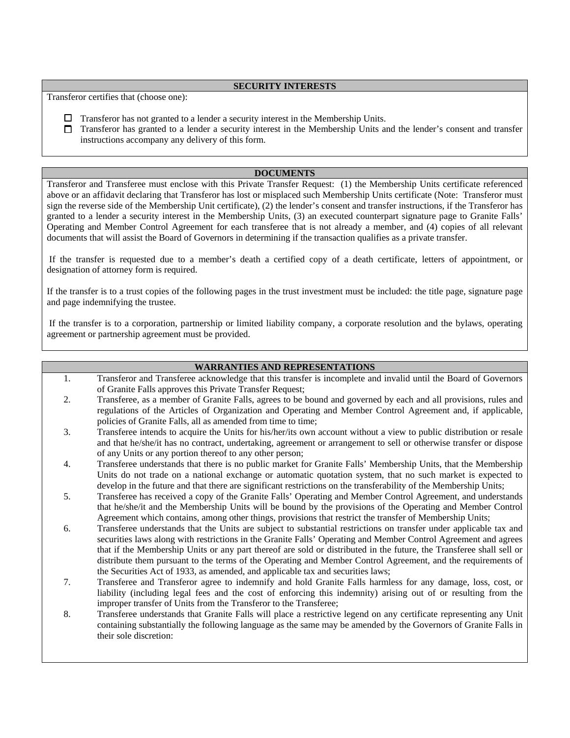### **SECURITY INTERESTS**

Transferor certifies that (choose one):

- $\Box$  Transferor has not granted to a lender a security interest in the Membership Units.
- $\Box$  Transferor has granted to a lender a security interest in the Membership Units and the lender's consent and transfer instructions accompany any delivery of this form.

# **DOCUMENTS**

Transferor and Transferee must enclose with this Private Transfer Request: (1) the Membership Units certificate referenced above or an affidavit declaring that Transferor has lost or misplaced such Membership Units certificate (Note: Transferor must sign the reverse side of the Membership Unit certificate), (2) the lender's consent and transfer instructions, if the Transferor has granted to a lender a security interest in the Membership Units, (3) an executed counterpart signature page to Granite Falls' Operating and Member Control Agreement for each transferee that is not already a member, and (4) copies of all relevant documents that will assist the Board of Governors in determining if the transaction qualifies as a private transfer.

 If the transfer is requested due to a member's death a certified copy of a death certificate, letters of appointment, or designation of attorney form is required.

If the transfer is to a trust copies of the following pages in the trust investment must be included: the title page, signature page and page indemnifying the trustee.

 If the transfer is to a corporation, partnership or limited liability company, a corporate resolution and the bylaws, operating agreement or partnership agreement must be provided.

### **WARRANTIES AND REPRESENTATIONS**

- 1. Transferor and Transferee acknowledge that this transfer is incomplete and invalid until the Board of Governors of Granite Falls approves this Private Transfer Request;
- 2. Transferee, as a member of Granite Falls, agrees to be bound and governed by each and all provisions, rules and regulations of the Articles of Organization and Operating and Member Control Agreement and, if applicable, policies of Granite Falls, all as amended from time to time;
- 3. Transferee intends to acquire the Units for his/her/its own account without a view to public distribution or resale and that he/she/it has no contract, undertaking, agreement or arrangement to sell or otherwise transfer or dispose of any Units or any portion thereof to any other person;
- 4. Transferee understands that there is no public market for Granite Falls' Membership Units, that the Membership Units do not trade on a national exchange or automatic quotation system, that no such market is expected to develop in the future and that there are significant restrictions on the transferability of the Membership Units;
- 5. Transferee has received a copy of the Granite Falls' Operating and Member Control Agreement, and understands that he/she/it and the Membership Units will be bound by the provisions of the Operating and Member Control Agreement which contains, among other things, provisions that restrict the transfer of Membership Units;
- 6. Transferee understands that the Units are subject to substantial restrictions on transfer under applicable tax and securities laws along with restrictions in the Granite Falls' Operating and Member Control Agreement and agrees that if the Membership Units or any part thereof are sold or distributed in the future, the Transferee shall sell or distribute them pursuant to the terms of the Operating and Member Control Agreement, and the requirements of the Securities Act of 1933, as amended, and applicable tax and securities laws;
- 7. Transferee and Transferor agree to indemnify and hold Granite Falls harmless for any damage, loss, cost, or liability (including legal fees and the cost of enforcing this indemnity) arising out of or resulting from the improper transfer of Units from the Transferor to the Transferee;
- 8. Transferee understands that Granite Falls will place a restrictive legend on any certificate representing any Unit containing substantially the following language as the same may be amended by the Governors of Granite Falls in their sole discretion: